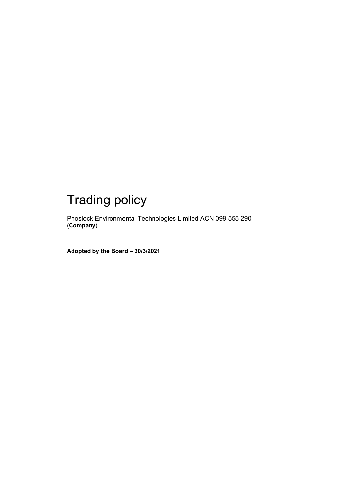# Trading policy

Phoslock Environmental Technologies Limited ACN 099 555 290 (**Company**)

**Adopted by the Board – 30/3/2021**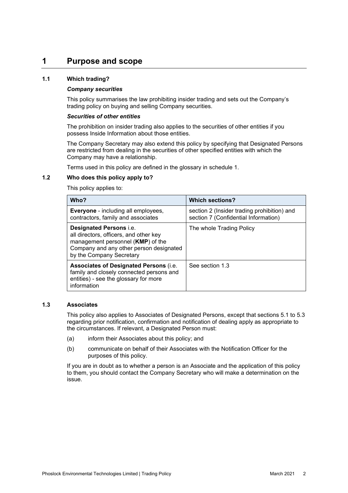### **1 Purpose and scope**

#### **1.1 Which trading?**

#### *Company securities*

This policy summarises the law prohibiting insider trading and sets out the Company's trading policy on buying and selling Company securities.

#### *Securities of other entities*

The prohibition on insider trading also applies to the securities of other entities if you possess Inside Information about those entities.

The Company Secretary may also extend this policy by specifying that Designated Persons are restricted from dealing in the securities of other specified entities with which the Company may have a relationship.

Terms used in this policy are defined in the glossary in schedule 1.

#### **1.2 Who does this policy apply to?**

This policy applies to:

| Who?                                                                                                                                                                          | <b>Which sections?</b>                                                              |
|-------------------------------------------------------------------------------------------------------------------------------------------------------------------------------|-------------------------------------------------------------------------------------|
| <b>Everyone</b> - including all employees,<br>contractors, family and associates                                                                                              | section 2 (Insider trading prohibition) and<br>section 7 (Confidential Information) |
| Designated Persons i.e.<br>all directors, officers, and other key<br>management personnel (KMP) of the<br>Company and any other person designated<br>by the Company Secretary | The whole Trading Policy                                                            |
| Associates of Designated Persons (i.e.<br>family and closely connected persons and<br>entities) - see the glossary for more<br>information                                    | See section 1.3                                                                     |

#### **1.3 Associates**

This policy also applies to Associates of Designated Persons, except that sections 5.1 to 5.3 regarding prior notification, confirmation and notification of dealing apply as appropriate to the circumstances. If relevant, a Designated Person must:

- (a) inform their Associates about this policy; and
- (b) communicate on behalf of their Associates with the Notification Officer for the purposes of this policy.

If you are in doubt as to whether a person is an Associate and the application of this policy to them, you should contact the Company Secretary who will make a determination on the issue.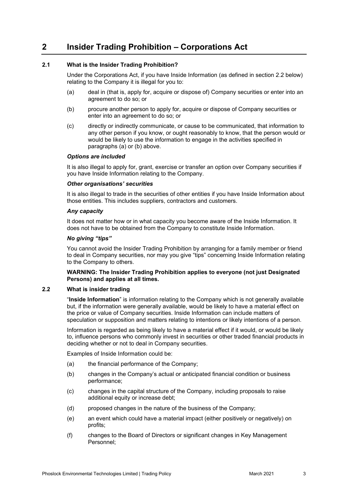# **2 Insider Trading Prohibition – Corporations Act**

#### **2.1 What is the Insider Trading Prohibition?**

Under the Corporations Act, if you have Inside Information (as defined in section 2.2 below) relating to the Company it is illegal for you to:

- (a) deal in (that is, apply for, acquire or dispose of) Company securities or enter into an agreement to do so; or
- (b) procure another person to apply for, acquire or dispose of Company securities or enter into an agreement to do so; or
- (c) directly or indirectly communicate, or cause to be communicated, that information to any other person if you know, or ought reasonably to know, that the person would or would be likely to use the information to engage in the activities specified in paragraphs (a) or (b) above.

#### *Options are included*

It is also illegal to apply for, grant, exercise or transfer an option over Company securities if you have Inside Information relating to the Company.

#### *Other organisations' securities*

It is also illegal to trade in the securities of other entities if you have Inside Information about those entities. This includes suppliers, contractors and customers.

#### *Any capacity*

It does not matter how or in what capacity you become aware of the Inside Information. It does not have to be obtained from the Company to constitute Inside Information.

#### *No giving "tips"*

You cannot avoid the Insider Trading Prohibition by arranging for a family member or friend to deal in Company securities, nor may you give "tips" concerning Inside Information relating to the Company to others.

#### **WARNING: The Insider Trading Prohibition applies to everyone (not just Designated Persons) and applies at all times.**

#### **2.2 What is insider trading**

"**Inside Information**" is information relating to the Company which is not generally available but, if the information were generally available, would be likely to have a material effect on the price or value of Company securities. Inside Information can include matters of speculation or supposition and matters relating to intentions or likely intentions of a person.

Information is regarded as being likely to have a material effect if it would, or would be likely to, influence persons who commonly invest in securities or other traded financial products in deciding whether or not to deal in Company securities.

Examples of Inside Information could be:

- (a) the financial performance of the Company;
- (b) changes in the Company's actual or anticipated financial condition or business performance;
- (c) changes in the capital structure of the Company, including proposals to raise additional equity or increase debt;
- (d) proposed changes in the nature of the business of the Company;
- (e) an event which could have a material impact (either positively or negatively) on profits;
- (f) changes to the Board of Directors or significant changes in Key Management Personnel;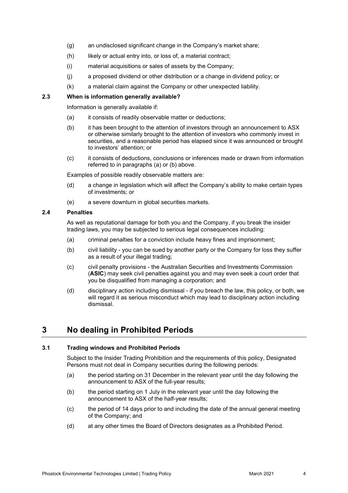- (g) an undisclosed significant change in the Company's market share;
- (h) likely or actual entry into, or loss of, a material contract;
- (i) material acquisitions or sales of assets by the Company;
- (j) a proposed dividend or other distribution or a change in dividend policy; or
- (k) a material claim against the Company or other unexpected liability.

#### **2.3 When is information generally available?**

Information is generally available if:

- (a) it consists of readily observable matter or deductions;
- (b) it has been brought to the attention of investors through an announcement to ASX or otherwise similarly brought to the attention of investors who commonly invest in securities, and a reasonable period has elapsed since it was announced or brought to investors' attention; or
- (c) it consists of deductions, conclusions or inferences made or drawn from information referred to in paragraphs (a) or (b) above.

Examples of possible readily observable matters are:

- (d) a change in legislation which will affect the Company's ability to make certain types of investments; or
- (e) a severe downturn in global securities markets.

#### **2.4 Penalties**

As well as reputational damage for both you and the Company, if you break the insider trading laws, you may be subjected to serious legal consequences including:

- (a) criminal penalties for a conviction include heavy fines and imprisonment;
- (b) civil liability you can be sued by another party or the Company for loss they suffer as a result of your illegal trading;
- (c) civil penalty provisions the Australian Securities and Investments Commission (**ASIC**) may seek civil penalties against you and may even seek a court order that you be disqualified from managing a corporation; and
- (d) disciplinary action including dismissal if you breach the law, this policy, or both, we will regard it as serious misconduct which may lead to disciplinary action including dismissal.

# **3 No dealing in Prohibited Periods**

#### **3.1 Trading windows and Prohibited Periods**

Subject to the Insider Trading Prohibition and the requirements of this policy, Designated Persons must not deal in Company securities during the following periods:

- (a) the period starting on 31 December in the relevant year until the day following the announcement to ASX of the full-year results;
- (b) the period starting on 1 July in the relevant year until the day following the announcement to ASX of the half-year results;
- (c) the period of 14 days prior to and including the date of the annual general meeting of the Company; and
- (d) at any other times the Board of Directors designates as a Prohibited Period.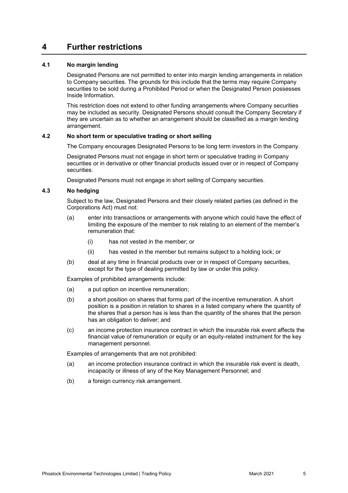### **4 Further restrictions**

#### **4.1 No margin lending**

Designated Persons are not permitted to enter into margin lending arrangements in relation to Company securities. The grounds for this include that the terms may require Company securities to be sold during a Prohibited Period or when the Designated Person possesses Inside Information.

This restriction does not extend to other funding arrangements where Company securities may be included as security. Designated Persons should consult the Company Secretary if they are uncertain as to whether an arrangement should be classified as a margin lending arrangement.

#### **4.2 No short term or speculative trading or short selling**

The Company encourages Designated Persons to be long term investors in the Company.

Designated Persons must not engage in short term or speculative trading in Company securities or in derivative or other financial products issued over or in respect of Company securities.

Designated Persons must not engage in short selling of Company securities.

#### **4.3 No hedging**

Subject to the law, Designated Persons and their closely related parties (as defined in the Corporations Act) must not:

- (a) enter into transactions or arrangements with anyone which could have the effect of limiting the exposure of the member to risk relating to an element of the member's remuneration that:
	- (i) has not vested in the member; or
	- (ii) has vested in the member but remains subject to a holding lock; or
- (b) deal at any time in financial products over or in respect of Company securities, except for the type of dealing permitted by law or under this policy.

Examples of prohibited arrangements include:

- (a) a put option on incentive remuneration;
- (b) a short position on shares that forms part of the incentive remuneration. A short position is a position in relation to shares in a listed company where the quantity of the shares that a person has is less than the quantity of the shares that the person has an obligation to deliver; and
- (c) an income protection insurance contract in which the insurable risk event affects the financial value of remuneration or equity or an equity-related instrument for the key management personnel.

Examples of arrangements that are not prohibited:

- (a) an income protection insurance contract in which the insurable risk event is death, incapacity or illness of any of the Key Management Personnel; and
- (b) a foreign currency risk arrangement.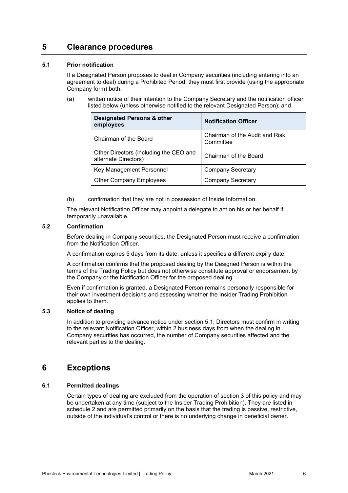### **5 Clearance procedures**

#### **5.1 Prior notification**

If a Designated Person proposes to deal in Company securities (including entering into an agreement to deal) during a Prohibited Period, they must first provide (using the appropriate Company form) both:

(a) written notice of their intention to the Company Secretary and the notification officer listed below (unless otherwise notified to the relevant Designated Person); and

| <b>Designated Persons &amp; other</b><br>employees             | <b>Notification Officer</b>                 |
|----------------------------------------------------------------|---------------------------------------------|
| Chairman of the Board                                          | Chairman of the Audit and Risk<br>Committee |
| Other Directors (including the CEO and<br>alternate Directors) | Chairman of the Board                       |
| Key Management Personnel                                       | <b>Company Secretary</b>                    |
| <b>Other Company Employees</b>                                 | <b>Company Secretary</b>                    |

(b) confirmation that they are not in possession of Inside Information.

The relevant Notification Officer may appoint a delegate to act on his or her behalf if temporarily unavailable.

#### **5.2 Confirmation**

Before dealing in Company securities, the Designated Person must receive a confirmation from the Notification Officer.

A confirmation expires 5 days from its date, unless it specifies a different expiry date.

A confirmation confirms that the proposed dealing by the Designed Person is within the terms of the Trading Policy but does not otherwise constitute approval or endorsement by the Company or the Notification Officer for the proposed dealing.

Even if confirmation is granted, a Designated Person remains personally responsible for their own investment decisions and assessing whether the Insider Trading Prohibition applies to them.

#### **5.3 Notice of dealing**

In addition to providing advance notice under section 5.1, Directors must confirm in writing to the relevant Notification Officer, within 2 business days from when the dealing in Company securities has occurred, the number of Company securities affected and the relevant parties to the dealing.

### **6 Exceptions**

#### **6.1 Permitted dealings**

Certain types of dealing are excluded from the operation of section 3 of this policy and may be undertaken at any time (subject to the Insider Trading Prohibition). They are listed in schedule 2 and are permitted primarily on the basis that the trading is passive, restrictive, outside of the individual's control or there is no underlying change in beneficial owner.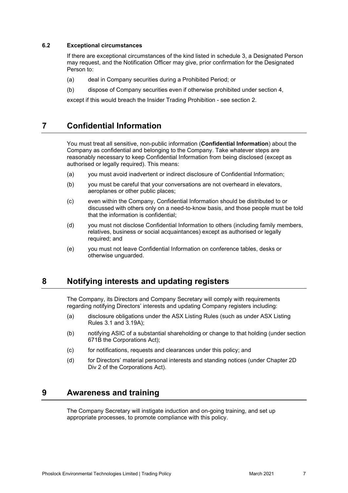#### **6.2 Exceptional circumstances**

If there are exceptional circumstances of the kind listed in schedule 3, a Designated Person may request, and the Notification Officer may give, prior confirmation for the Designated Person to:

- (a) deal in Company securities during a Prohibited Period; or
- (b) dispose of Company securities even if otherwise prohibited under section 4,

except if this would breach the Insider Trading Prohibition - see section 2.

### **7 Confidential Information**

You must treat all sensitive, non-public information (**Confidential Information**) about the Company as confidential and belonging to the Company. Take whatever steps are reasonably necessary to keep Confidential Information from being disclosed (except as authorised or legally required). This means:

- (a) you must avoid inadvertent or indirect disclosure of Confidential Information;
- (b) you must be careful that your conversations are not overheard in elevators, aeroplanes or other public places;
- (c) even within the Company, Confidential Information should be distributed to or discussed with others only on a need-to-know basis, and those people must be told that the information is confidential;
- (d) you must not disclose Confidential Information to others (including family members, relatives, business or social acquaintances) except as authorised or legally required; and
- (e) you must not leave Confidential Information on conference tables, desks or otherwise unguarded.

### **8 Notifying interests and updating registers**

The Company, its Directors and Company Secretary will comply with requirements regarding notifying Directors' interests and updating Company registers including:

- (a) disclosure obligations under the ASX Listing Rules (such as under ASX Listing Rules 3.1 and 3.19A);
- (b) notifying ASIC of a substantial shareholding or change to that holding (under section 671B the Corporations Act);
- (c) for notifications, requests and clearances under this policy; and
- (d) for Directors' material personal interests and standing notices (under Chapter 2D Div 2 of the Corporations Act).

### **9 Awareness and training**

The Company Secretary will instigate induction and on-going training, and set up appropriate processes, to promote compliance with this policy.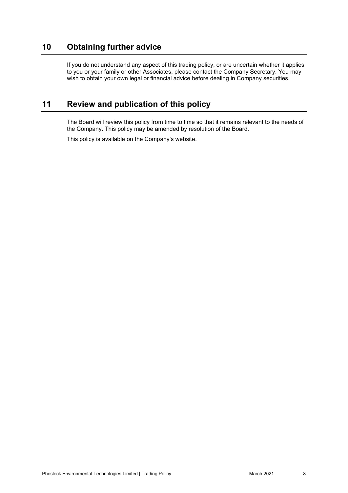# **10 Obtaining further advice**

If you do not understand any aspect of this trading policy, or are uncertain whether it applies to you or your family or other Associates, please contact the Company Secretary. You may wish to obtain your own legal or financial advice before dealing in Company securities.

# **11 Review and publication of this policy**

The Board will review this policy from time to time so that it remains relevant to the needs of the Company. This policy may be amended by resolution of the Board.

This policy is available on the Company's website.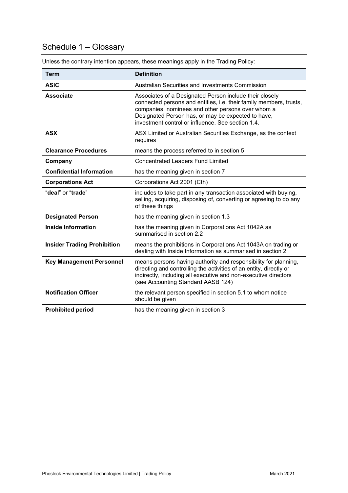# Schedule 1 – Glossary

| <b>Term</b>                        | <b>Definition</b>                                                                                                                                                                                                                                                                             |
|------------------------------------|-----------------------------------------------------------------------------------------------------------------------------------------------------------------------------------------------------------------------------------------------------------------------------------------------|
| <b>ASIC</b>                        | Australian Securities and Investments Commission                                                                                                                                                                                                                                              |
| <b>Associate</b>                   | Associates of a Designated Person include their closely<br>connected persons and entities, i.e. their family members, trusts,<br>companies, nominees and other persons over whom a<br>Designated Person has, or may be expected to have,<br>investment control or influence. See section 1.4. |
| <b>ASX</b>                         | ASX Limited or Australian Securities Exchange, as the context<br>requires                                                                                                                                                                                                                     |
| <b>Clearance Procedures</b>        | means the process referred to in section 5                                                                                                                                                                                                                                                    |
| Company                            | <b>Concentrated Leaders Fund Limited</b>                                                                                                                                                                                                                                                      |
| <b>Confidential Information</b>    | has the meaning given in section 7                                                                                                                                                                                                                                                            |
| <b>Corporations Act</b>            | Corporations Act 2001 (Cth)                                                                                                                                                                                                                                                                   |
| "deal" or "trade"                  | includes to take part in any transaction associated with buying,<br>selling, acquiring, disposing of, converting or agreeing to do any<br>of these things                                                                                                                                     |
| <b>Designated Person</b>           | has the meaning given in section 1.3                                                                                                                                                                                                                                                          |
| <b>Inside Information</b>          | has the meaning given in Corporations Act 1042A as<br>summarised in section 2.2                                                                                                                                                                                                               |
| <b>Insider Trading Prohibition</b> | means the prohibitions in Corporations Act 1043A on trading or<br>dealing with Inside Information as summarised in section 2                                                                                                                                                                  |
| <b>Key Management Personnel</b>    | means persons having authority and responsibility for planning,<br>directing and controlling the activities of an entity, directly or<br>indirectly, including all executive and non-executive directors<br>(see Accounting Standard AASB 124)                                                |
| <b>Notification Officer</b>        | the relevant person specified in section 5.1 to whom notice<br>should be given                                                                                                                                                                                                                |
| <b>Prohibited period</b>           | has the meaning given in section 3                                                                                                                                                                                                                                                            |

Unless the contrary intention appears, these meanings apply in the Trading Policy: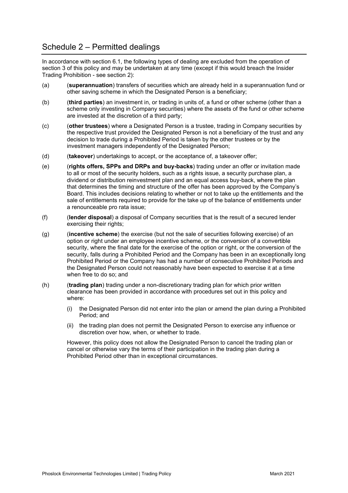### Schedule 2 – Permitted dealings

In accordance with section 6.1, the following types of dealing are excluded from the operation of section 3 of this policy and may be undertaken at any time (except if this would breach the Insider Trading Prohibition - see section 2):

- (a) (**superannuation**) transfers of securities which are already held in a superannuation fund or other saving scheme in which the Designated Person is a beneficiary;
- (b) (**third parties**) an investment in, or trading in units of, a fund or other scheme (other than a scheme only investing in Company securities) where the assets of the fund or other scheme are invested at the discretion of a third party;
- (c) (**other trustees**) where a Designated Person is a trustee, trading in Company securities by the respective trust provided the Designated Person is not a beneficiary of the trust and any decision to trade during a Prohibited Period is taken by the other trustees or by the investment managers independently of the Designated Person;
- (d) (**takeover**) undertakings to accept, or the acceptance of, a takeover offer;
- (e) (**rights offers, SPPs and DRPs and buy-backs**) trading under an offer or invitation made to all or most of the security holders, such as a rights issue, a security purchase plan, a dividend or distribution reinvestment plan and an equal access buy-back, where the plan that determines the timing and structure of the offer has been approved by the Company's Board. This includes decisions relating to whether or not to take up the entitlements and the sale of entitlements required to provide for the take up of the balance of entitlements under a renounceable pro rata issue;
- (f) (**lender disposal**) a disposal of Company securities that is the result of a secured lender exercising their rights;
- (g) (**incentive scheme**) the exercise (but not the sale of securities following exercise) of an option or right under an employee incentive scheme, or the conversion of a convertible security, where the final date for the exercise of the option or right, or the conversion of the security, falls during a Prohibited Period and the Company has been in an exceptionally long Prohibited Period or the Company has had a number of consecutive Prohibited Periods and the Designated Person could not reasonably have been expected to exercise it at a time when free to do so; and
- (h) (**trading plan**) trading under a non-discretionary trading plan for which prior written clearance has been provided in accordance with procedures set out in this policy and where:
	- (i) the Designated Person did not enter into the plan or amend the plan during a Prohibited Period; and
	- (ii) the trading plan does not permit the Designated Person to exercise any influence or discretion over how, when, or whether to trade.

However, this policy does not allow the Designated Person to cancel the trading plan or cancel or otherwise vary the terms of their participation in the trading plan during a Prohibited Period other than in exceptional circumstances.